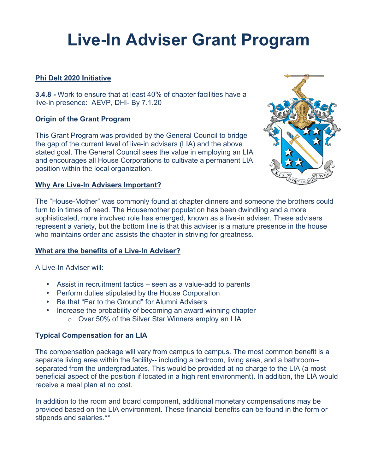# **Live-In Adviser Grant Program**

# **Phi Delt 2020 Initiative**

**3.4.8 -** Work to ensure that at least 40% of chapter facilities have a live-in presence: AEVP, DHI- By 7.1.20

# **Origin of the Grant Program**

This Grant Program was provided by the General Council to bridge the gap of the current level of live-in advisers (LIA) and the above stated goal. The General Council sees the value in employing an LIA and encourages all House Corporations to cultivate a permanent LIA position within the local organization.



The "House-Mother" was commonly found at chapter dinners and someone the brothers could turn to in times of need. The Housemother population has been dwindling and a more sophisticated, more involved role has emerged, known as a live-in adviser. These advisers represent a variety, but the bottom line is that this adviser is a mature presence in the house who maintains order and assists the chapter in striving for greatness.

# **What are the benefits of a Live-In Adviser?**

A Live-In Adviser will:

- Assist in recruitment tactics seen as a value-add to parents
- Perform duties stipulated by the House Corporation
- Be that "Ear to the Ground" for Alumni Advisers
- Increase the probability of becoming an award winning chapter
	- o Over 50% of the Silver Star Winners employ an LIA

# **Typical Compensation for an LIA**

The compensation package will vary from campus to campus. The most common benefit is a separate living area within the facility-- including a bedroom, living area, and a bathroom- separated from the undergraduates. This would be provided at no charge to the LIA (a most beneficial aspect of the position if located in a high rent environment). In addition, the LIA would receive a meal plan at no cost.

In addition to the room and board component, additional monetary compensations may be provided based on the LIA environment. These financial benefits can be found in the form or stipends and salaries.\*\*

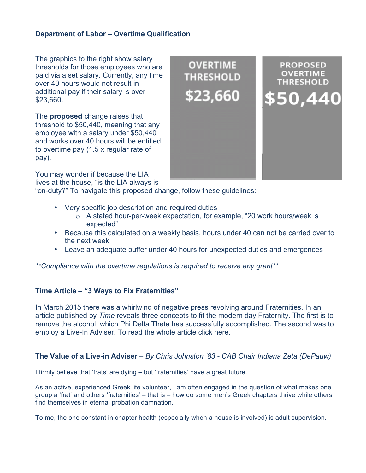#### **Department of Labor – Overtime Qualification**

The graphics to the right show salary thresholds for those employees who are paid via a set salary. Currently, any time over 40 hours would not result in additional pay if their salary is over \$23,660.

The **proposed** change raises that threshold to \$50,440, meaning that any employee with a salary under \$50,440 and works over 40 hours will be entitled to overtime pay (1.5 x regular rate of pay).

You may wonder if because the LIA lives at the house, "is the LIA always is

"on-duty?" To navigate this proposed change, follow these guidelines:

- Very specific job description and required duties
	- $\circ$  A stated hour-per-week expectation, for example, "20 work hours/week is expected"
- Because this calculated on a weekly basis, hours under 40 can not be carried over to the next week
- Leave an adequate buffer under 40 hours for unexpected duties and emergences

*\*\*Compliance with the overtime regulations is required to receive any grant\*\**

#### **Time Article – "3 Ways to Fix Fraternities"**

In March 2015 there was a whirlwind of negative press revolving around Fraternities. In an article published by *Time* reveals three concepts to fit the modern day Fraternity. The first is to remove the alcohol, which Phi Delta Theta has successfully accomplished. The second was to employ a Live-In Adviser. To read the whole article click here.

#### **The Value of a Live-in Adviser** *– By Chris Johnston '83 - CAB Chair Indiana Zeta (DePauw)*

I firmly believe that 'frats' are dying – but 'fraternities' have a great future.

As an active, experienced Greek life volunteer, I am often engaged in the question of what makes one group a 'frat' and others 'fraternities' – that is – how do some men's Greek chapters thrive while others find themselves in eternal probation damnation.

To me, the one constant in chapter health (especially when a house is involved) is adult supervision.

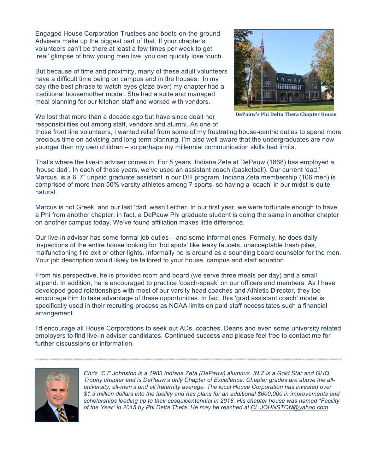Engaged House Corporation Trustees and boots-on-the-ground Advisers make up the biggest part of that. If your chapter's volunteers can't be there at least a few times per week to get 'real' glimpse of how young men live, you can quickly lose touch.

But because of time and proximity, many of these adult volunteers have a difficult time being on campus and in the houses. In my day (the best phrase to watch eyes glaze over) my chapter had a traditional housemother model. She had a suite and managed meal planning for our kitchen staff and worked with vendors.

We lost that more than a decade ago but have since dealt her responsibilities out among staff, vendors and alumni. As one of



**DePauw's Phi Delta Theta Chapter House** 

those front line volunteers, I wanted relief from some of my frustrating house-centric duties to spend more precious time on advising and long term planning. I'm also well aware that the undergraduates are now younger than my own children – so perhaps my millennial communication skills had limits.

That's where the live-in adviser comes in. For 5 years, Indiana Zeta at DePauw (1868) has employed a 'house dad'. In each of those years, we've used an assistant coach (basketball). Our current 'dad,' Marcus, is a 6' 7" unpaid graduate assistant in our DIII program. Indiana Zeta membership (106 men) is comprised of more than 50% varsity athletes among 7 sports, so having a 'coach' in our midst is quite natural.

Marcus is not Greek, and our last 'dad' wasn't either. In our first year, we were fortunate enough to have a Phi from another chapter; in fact, a DePauw Phi graduate student is doing the same in another chapter on another campus today. We've found affiliation makes little difference.

Our live-in adviser has some formal job duties – and some informal ones. Formally, he does daily inspections of the entire house looking for 'hot spots' like leaky faucets, unacceptable trash piles, malfunctioning fire exit or other lights. Informally he is around as a sounding board counselor for the men. Your job description would likely be tailored to your house, campus and staff equation.

From his perspective, he is provided room and board (we serve three meals per day) and a small stipend. In addition, he is encouraged to practice 'coach-speak' on our officers and members. As I have developed good relationships with most of our varsity head coaches and Athletic Director, they too encourage him to take advantage of these opportunities. In fact, this 'grad assistant coach' model is specifically used in their recruiting process as NCAA limits on paid staff necessitates such a financial arrangement.

I'd encourage all House Corporations to seek out ADs, coaches, Deans and even some university related employers to find live-in adviser candidates. Continued success and please feel free to contact me for further discussions or information.

--------------------------------------------------------------------------------------------------------------------------------------------



*Chris "CJ" Johnston is a 1983 Indiana Zeta (DePauw) alumnus. IN Z is a Gold Star and GHQ Trophy chapter and is DePauw's only Chapter of Excellence. Chapter grades are above the alluniversity, all-men's and all fraternity average. The local House Corporation has invested over \$1.3 million dollars into the facility and has plans for an additional \$600,000 in improvements and scholarships leading up to their sesquicentennial in 2018. His chapter house was named "Facility of the Year" in 2015 by Phi Delta Theta. He may be reached at CL.JOHNSTON@yahoo.com*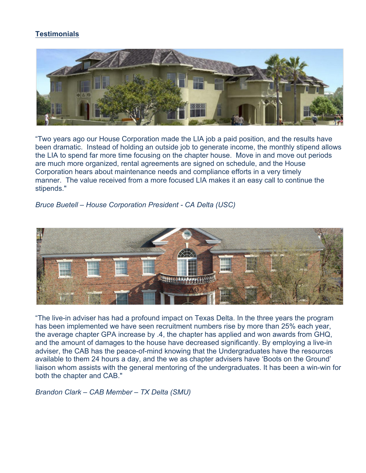# **Testimonials**



"Two years ago our House Corporation made the LIA job a paid position, and the results have been dramatic. Instead of holding an outside job to generate income, the monthly stipend allows the LIA to spend far more time focusing on the chapter house. Move in and move out periods are much more organized, rental agreements are signed on schedule, and the House Corporation hears about maintenance needs and compliance efforts in a very timely manner. The value received from a more focused LIA makes it an easy call to continue the stipends."

*Bruce Buetell – House Corporation President - CA Delta (USC)*



"The live-in adviser has had a profound impact on Texas Delta. In the three years the program has been implemented we have seen recruitment numbers rise by more than 25% each year, the average chapter GPA increase by .4, the chapter has applied and won awards from GHQ, and the amount of damages to the house have decreased significantly. By employing a live-in adviser, the CAB has the peace-of-mind knowing that the Undergraduates have the resources available to them 24 hours a day, and the we as chapter advisers have 'Boots on the Ground' liaison whom assists with the general mentoring of the undergraduates. It has been a win-win for both the chapter and CAB."

*Brandon Clark – CAB Member – TX Delta (SMU)*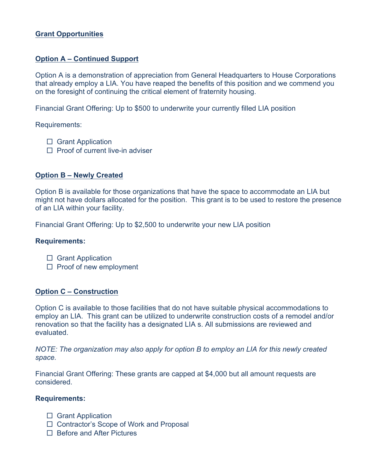#### **Grant Opportunities**

#### **Option A – Continued Support**

Option A is a demonstration of appreciation from General Headquarters to House Corporations that already employ a LIA. You have reaped the benefits of this position and we commend you on the foresight of continuing the critical element of fraternity housing.

Financial Grant Offering: Up to \$500 to underwrite your currently filled LIA position

Requirements:

- □ Grant Application
- $\Box$  Proof of current live-in adviser

#### **Option B – Newly Created**

Option B is available for those organizations that have the space to accommodate an LIA but might not have dollars allocated for the position. This grant is to be used to restore the presence of an LIA within your facility.

Financial Grant Offering: Up to \$2,500 to underwrite your new LIA position

#### **Requirements:**

- □ Grant Application
- □ Proof of new employment

#### **Option C – Construction**

Option C is available to those facilities that do not have suitable physical accommodations to employ an LIA. This grant can be utilized to underwrite construction costs of a remodel and/or renovation so that the facility has a designated LIA s. All submissions are reviewed and evaluated.

*NOTE: The organization may also apply for option B to employ an LIA for this newly created space.* 

Financial Grant Offering: These grants are capped at \$4,000 but all amount requests are considered.

#### **Requirements:**

- □ Grant Application
- □ Contractor's Scope of Work and Proposal
- □ Before and After Pictures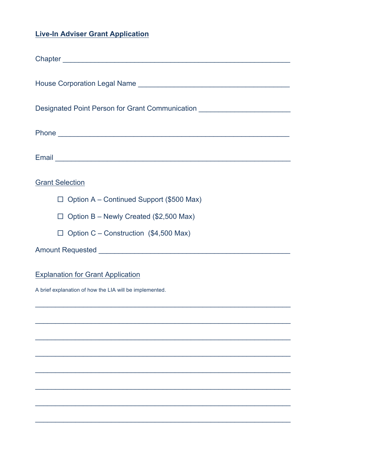# **Live-In Adviser Grant Application**

| Designated Point Person for Grant Communication ________________________________ |
|----------------------------------------------------------------------------------|
|                                                                                  |
|                                                                                  |
| <b>Grant Selection</b>                                                           |
| $\Box$ Option A – Continued Support (\$500 Max)                                  |
| $\Box$ Option B - Newly Created (\$2,500 Max)                                    |
| $\Box$ Option C – Construction (\$4,500 Max)                                     |
|                                                                                  |
| <b>Explanation for Grant Application</b>                                         |
| A brief explanation of how the LIA will be implemented.                          |
|                                                                                  |
|                                                                                  |
|                                                                                  |
|                                                                                  |
|                                                                                  |
|                                                                                  |
|                                                                                  |
|                                                                                  |